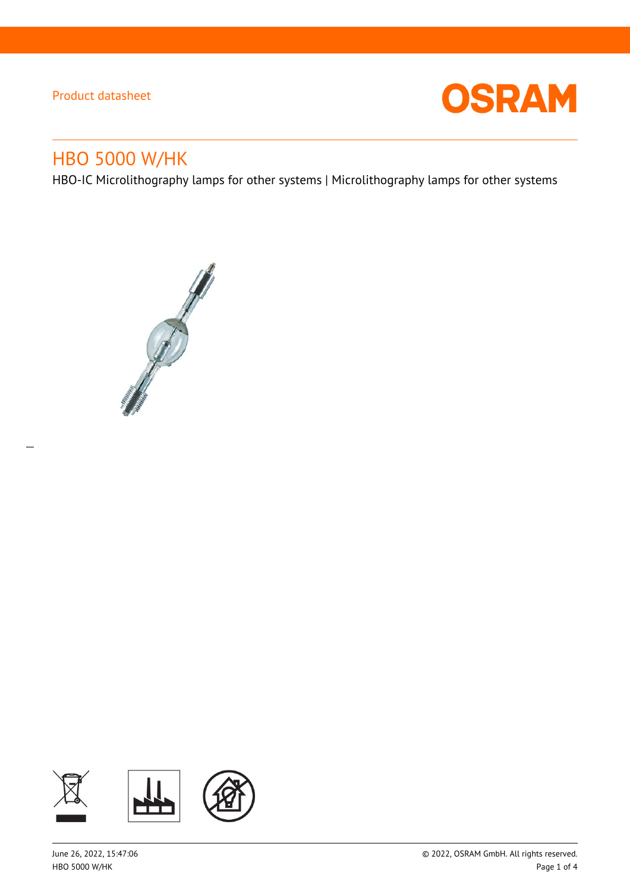$\overline{a}$ 



# HBO 5000 W/HK

HBO-IC Microlithography lamps for other systems | Microlithography lamps for other systems



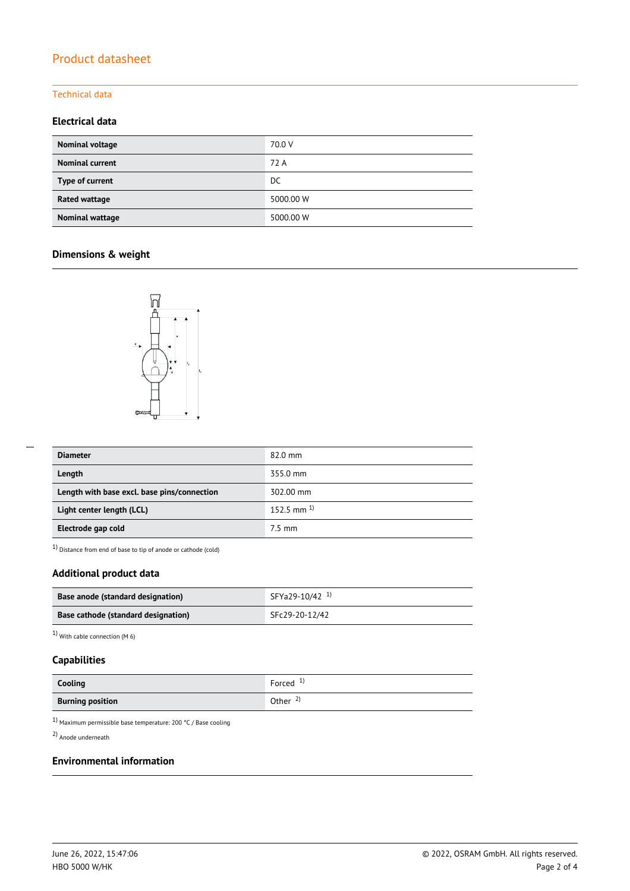#### Technical data

## **Electrical data**

| Nominal voltage        | 70.0 V    |
|------------------------|-----------|
| <b>Nominal current</b> | 72 A      |
| Type of current        | DC.       |
| Rated wattage          | 5000.00 W |
| Nominal wattage        | 5000.00 W |

## **Dimensions & weight**



| <b>Diameter</b>                             | $82.0$ mm       |
|---------------------------------------------|-----------------|
| Length                                      | 355.0 mm        |
| Length with base excl. base pins/connection | 302.00 mm       |
| Light center length (LCL)                   | 152.5 mm $^{1}$ |
| Electrode gap cold                          | 7.5 mm          |

1) Distance from end of base to tip of anode or cathode (cold)

## **Additional product data**

| Base anode (standard designation)   | SFYa29-10/42 <sup>1)</sup> |
|-------------------------------------|----------------------------|
| Base cathode (standard designation) | SFc29-20-12/42             |

1) With cable connection (M 6)

## **Capabilities**

| Cooling                 | Forced $1$          |
|-------------------------|---------------------|
| <b>Burning position</b> | Other $\frac{2}{3}$ |

 $^{1)}$  Maximum permissible base temperature: 200 °C / Base cooling

2) Anode underneath

## **Environmental information**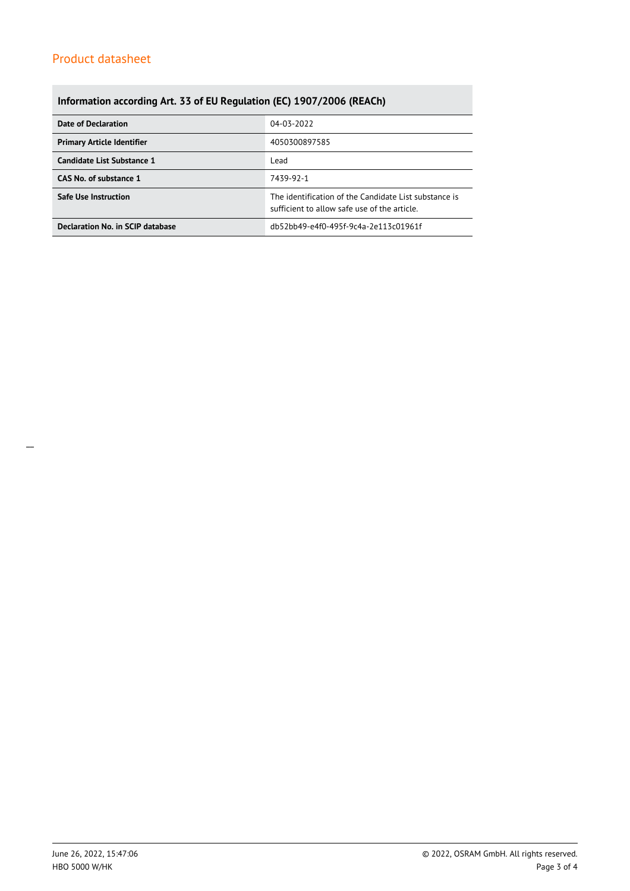# **Information according Art. 33 of EU Regulation (EC) 1907/2006 (REACh)**

| Date of Declaration               | 04-03-2022                                                                                            |  |  |
|-----------------------------------|-------------------------------------------------------------------------------------------------------|--|--|
| <b>Primary Article Identifier</b> | 4050300897585                                                                                         |  |  |
| Candidate List Substance 1        | Lead                                                                                                  |  |  |
| CAS No. of substance 1            | 7439-92-1                                                                                             |  |  |
| <b>Safe Use Instruction</b>       | The identification of the Candidate List substance is<br>sufficient to allow safe use of the article. |  |  |
| Declaration No. in SCIP database  | db52bb49-e4f0-495f-9c4a-2e113c01961f                                                                  |  |  |